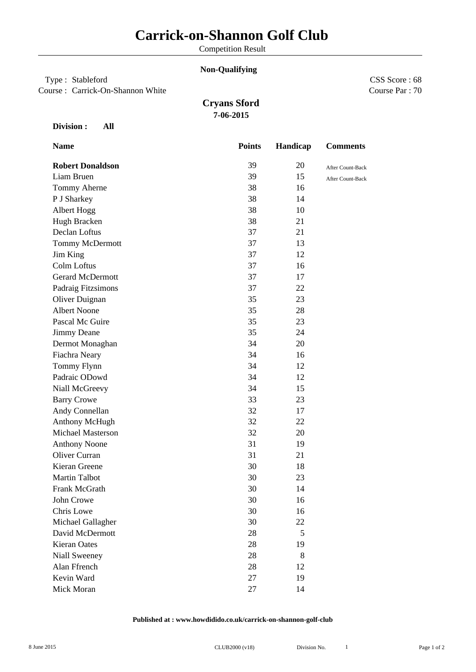Competition Result

### **Non-Qualifying**

# Type : Stableford

Course : Carrick-On-Shannon White

Course Par : 70 CSS Score : 68

# **Cryans Sford 7-06-2015**

#### **Division : All**

| <b>Name</b>             | <b>Points</b> | Handicap | <b>Comments</b>  |
|-------------------------|---------------|----------|------------------|
| <b>Robert Donaldson</b> | 39            | 20       | After Count-Back |
| Liam Bruen              | 39            | 15       | After Count-Back |
| Tommy Aherne            | 38            | 16       |                  |
| P J Sharkey             | 38            | 14       |                  |
| Albert Hogg             | 38            | 10       |                  |
| Hugh Bracken            | 38            | 21       |                  |
| Declan Loftus           | 37            | 21       |                  |
| Tommy McDermott         | 37            | 13       |                  |
| Jim King                | 37            | 12       |                  |
| Colm Loftus             | 37            | 16       |                  |
| <b>Gerard McDermott</b> | 37            | 17       |                  |
| Padraig Fitzsimons      | 37            | 22       |                  |
| Oliver Duignan          | 35            | 23       |                  |
| <b>Albert Noone</b>     | 35            | 28       |                  |
| Pascal Mc Guire         | 35            | 23       |                  |
| Jimmy Deane             | 35            | 24       |                  |
| Dermot Monaghan         | 34            | 20       |                  |
| Fiachra Neary           | 34            | 16       |                  |
| Tommy Flynn             | 34            | 12       |                  |
| Padraic ODowd           | 34            | 12       |                  |
| Niall McGreevy          | 34            | 15       |                  |
| <b>Barry Crowe</b>      | 33            | 23       |                  |
| Andy Connellan          | 32            | 17       |                  |
| Anthony McHugh          | 32            | 22       |                  |
| Michael Masterson       | 32            | 20       |                  |
| <b>Anthony Noone</b>    | 31            | 19       |                  |
| Oliver Curran           | 31            | 21       |                  |
| Kieran Greene           | 30            | 18       |                  |
| <b>Martin Talbot</b>    | 30            | 23       |                  |
| Frank McGrath           | 30            | 14       |                  |
| John Crowe              | 30            | 16       |                  |
| Chris Lowe              | 30            | 16       |                  |
| Michael Gallagher       | 30            | 22       |                  |
| David McDermott         | 28            | 5        |                  |
| Kieran Oates            | 28            | 19       |                  |
| Niall Sweeney           | 28            | 8        |                  |
| Alan Ffrench            | 28            | 12       |                  |
| Kevin Ward              | 27            | 19       |                  |
| Mick Moran              | 27            | 14       |                  |
|                         |               |          |                  |

#### **Published at : www.howdidido.co.uk/carrick-on-shannon-golf-club**